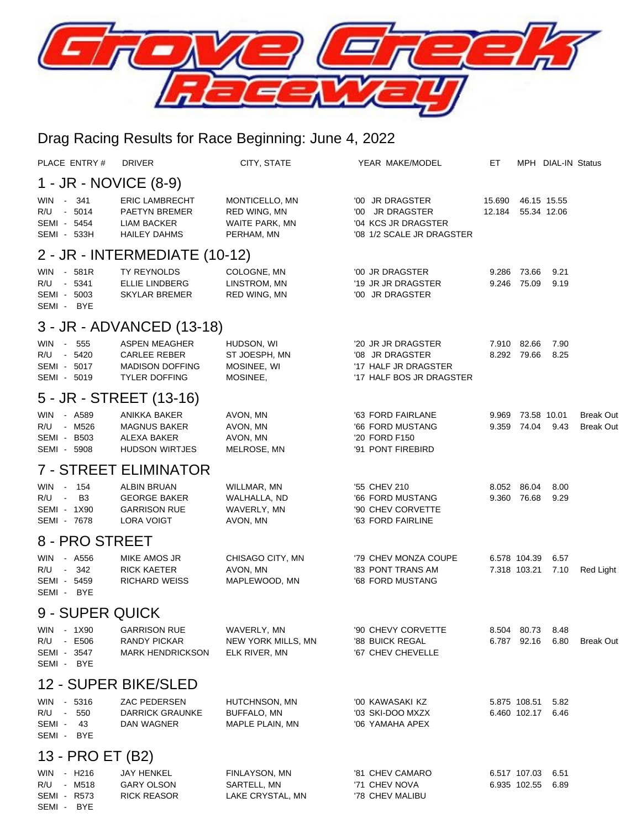

## Drag Racing Results for Race Beginning: June 4, 2022

| PLACE ENTRY#                                                                                  | <b>DRIVER</b>                                                                                 | CITY, STATE                                                    | YEAR MAKE/MODEL                                                                           | EТ               |                              | MPH DIAL-IN Status         |                                      |  |  |  |  |  |
|-----------------------------------------------------------------------------------------------|-----------------------------------------------------------------------------------------------|----------------------------------------------------------------|-------------------------------------------------------------------------------------------|------------------|------------------------------|----------------------------|--------------------------------------|--|--|--|--|--|
| 1 - JR - NOVICE (8-9)                                                                         |                                                                                               |                                                                |                                                                                           |                  |                              |                            |                                      |  |  |  |  |  |
| - 341<br>WIN<br>R/U - 5014<br>SEMI - 5454<br>SEMI - 533H                                      | <b>ERIC LAMBRECHT</b><br><b>PAETYN BREMER</b><br>LIAM BACKER<br><b>HAILEY DAHMS</b>           | MONTICELLO, MN<br>RED WING, MN<br>WAITE PARK, MN<br>PERHAM, MN | '00 JR DRAGSTER<br>'00 JR DRAGSTER<br>'04 KCS JR DRAGSTER<br>'08 1/2 SCALE JR DRAGSTER    | 15.690<br>12.184 |                              | 46.15 15.55<br>55.34 12.06 |                                      |  |  |  |  |  |
| 2 - JR - INTERMEDIATE (10-12)                                                                 |                                                                                               |                                                                |                                                                                           |                  |                              |                            |                                      |  |  |  |  |  |
| - 581R<br>WIN<br>R/U - 5341<br>SEMI - 5003<br>SEMI - BYE                                      | TY REYNOLDS<br><b>ELLIE LINDBERG</b><br><b>SKYLAR BREMER</b>                                  | COLOGNE, MN<br>LINSTROM, MN<br>RED WING, MN                    | '00 JR DRAGSTER<br>'19 JR JR DRAGSTER<br>'00 JR DRAGSTER                                  | 9.286<br>9.246   | 73.66<br>75.09               | 9.21<br>9.19               |                                      |  |  |  |  |  |
| 3 - JR - ADVANCED (13-18)                                                                     |                                                                                               |                                                                |                                                                                           |                  |                              |                            |                                      |  |  |  |  |  |
| 555<br><b>WIN</b><br>$\sim$<br>- 5420<br>R/U<br>SEMI - 5017<br>SEMI - 5019                    | <b>ASPEN MEAGHER</b><br><b>CARLEE REBER</b><br><b>MADISON DOFFING</b><br><b>TYLER DOFFING</b> | HUDSON, WI<br>ST JOESPH, MN<br>MOSINEE, WI<br>MOSINEE,         | '20 JR JR DRAGSTER<br>'08 JR DRAGSTER<br>'17 HALF JR DRAGSTER<br>'17 HALF BOS JR DRAGSTER | 7.910<br>8.292   | 82.66<br>79.66               | 7.90<br>8.25               |                                      |  |  |  |  |  |
|                                                                                               | 5 - JR - STREET (13-16)                                                                       |                                                                |                                                                                           |                  |                              |                            |                                      |  |  |  |  |  |
| WIN - A589<br>R/U - M526<br>SEMI - B503<br>SEMI - 5908                                        | ANIKKA BAKER<br><b>MAGNUS BAKER</b><br>ALEXA BAKER<br><b>HUDSON WIRTJES</b>                   | AVON, MN<br>AVON, MN<br>AVON, MN<br>MELROSE, MN                | '63 FORD FAIRLANE<br>'66 FORD MUSTANG<br>'20 FORD F150<br>'91 PONT FIREBIRD               | 9.969<br>9.359   | 74.04                        | 73.58 10.01<br>9.43        | <b>Break Out</b><br><b>Break Out</b> |  |  |  |  |  |
|                                                                                               | <b>7 - STREET ELIMINATOR</b>                                                                  |                                                                |                                                                                           |                  |                              |                            |                                      |  |  |  |  |  |
| 154<br><b>WIN</b><br>$\sim 10^{-11}$<br>B <sub>3</sub><br>R/U -<br>SEMI - 1X90<br>SEMI - 7678 | <b>ALBIN BRUAN</b><br><b>GEORGE BAKER</b><br><b>GARRISON RUE</b><br>LORA VOIGT                | WILLMAR, MN<br>WALHALLA, ND<br>WAVERLY, MN<br>AVON, MN         | '55 CHEV 210<br>'66 FORD MUSTANG<br>'90 CHEV CORVETTE<br>'63 FORD FAIRLINE                | 8.052<br>9.360   | 86.04<br>76.68               | 8.00<br>9.29               |                                      |  |  |  |  |  |
| 8 - PRO STREET                                                                                |                                                                                               |                                                                |                                                                                           |                  |                              |                            |                                      |  |  |  |  |  |
| <b>WIN</b><br>- A556<br>R/U<br>342<br>$\sim$<br>SEMI - 5459<br>SEMI - BYE                     | MIKE AMOS JR<br><b>RICK KAETER</b><br><b>RICHARD WEISS</b>                                    | CHISAGO CITY, MN<br>AVON, MN<br>MAPLEWOOD, MN                  | '79 CHEV MONZA COUPE<br>'83 PONT TRANS AM<br>'68 FORD MUSTANG                             |                  | 6.578 104.39<br>7.318 103.21 | 6.57<br>7.10               | Red Light                            |  |  |  |  |  |
| 9 - SUPER QUICK                                                                               |                                                                                               |                                                                |                                                                                           |                  |                              |                            |                                      |  |  |  |  |  |
| WIN - 1X90<br>R/U - E506<br>SEMI - 3547<br>SEMI - BYE                                         | <b>GARRISON RUE</b><br>RANDY PICKAR<br><b>MARK HENDRICKSON</b>                                | WAVERLY, MN<br>NEW YORK MILLS, MN<br>ELK RIVER, MN             | '90 CHEVY CORVETTE<br>'88 BUICK REGAL<br>'67 CHEV CHEVELLE                                |                  | 8.504 80.73<br>6.787 92.16   | 8.48<br>6.80               | <b>Break Out</b>                     |  |  |  |  |  |
| 12 - SUPER BIKE/SLED                                                                          |                                                                                               |                                                                |                                                                                           |                  |                              |                            |                                      |  |  |  |  |  |
| WIN<br>- 5316<br>R/U -<br>550<br>SEMI - 43<br>SEMI - BYE                                      | ZAC PEDERSEN<br><b>DARRICK GRAUNKE</b><br>DAN WAGNER                                          | HUTCHNSON, MN<br><b>BUFFALO, MN</b><br>MAPLE PLAIN, MN         | '00 KAWASAKI KZ<br>'03 SKI-DOO MXZX<br>'06 YAMAHA APEX                                    |                  | 5.875 108.51                 | 5.82<br>6.460 102.17 6.46  |                                      |  |  |  |  |  |
| 13 - PRO ET (B2)                                                                              |                                                                                               |                                                                |                                                                                           |                  |                              |                            |                                      |  |  |  |  |  |
| WIN - H216<br>R/U - M518<br>SEMI - R573<br>SEMI - BYE                                         | JAY HENKEL<br><b>GARY OLSON</b><br><b>RICK REASOR</b>                                         | FINLAYSON, MN<br>SARTELL, MN<br>LAKE CRYSTAL, MN               | '81 CHEV CAMARO<br>'71 CHEV NOVA<br>'78 CHEV MALIBU                                       |                  | 6.517 107.03<br>6.935 102.55 | 6.51<br>6.89               |                                      |  |  |  |  |  |